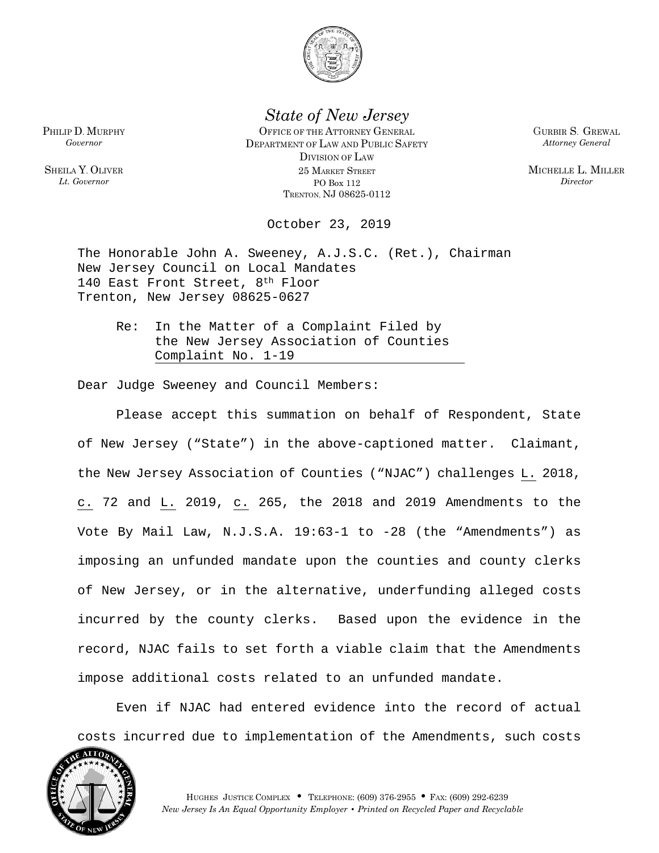

*State of New Jersey*

OFFICE OF THE ATTORNEY GENERAL DEPARTMENT OF LAW AND PUBLIC SAFETY DIVISION OF LAW 25 MARKET STREET PO Box 112 TRENTON, NJ 08625-0112

GURBIR S. GREWAL *Attorney General*

MICHELLE L. MILLER *Director*

October 23, 2019

The Honorable John A. Sweeney, A.J.S.C. (Ret.), Chairman New Jersey Council on Local Mandates 140 East Front Street, 8th Floor Trenton, New Jersey 08625-0627

Re: In the Matter of a Complaint Filed by the New Jersey Association of Counties Complaint No. 1-19

Dear Judge Sweeney and Council Members:

Please accept this summation on behalf of Respondent, State of New Jersey ("State") in the above-captioned matter. Claimant, the New Jersey Association of Counties ("NJAC") challenges L. 2018, c. 72 and L. 2019, c. 265, the 2018 and 2019 Amendments to the Vote By Mail Law, N.J.S.A. 19:63-1 to -28 (the "Amendments") as imposing an unfunded mandate upon the counties and county clerks of New Jersey, or in the alternative, underfunding alleged costs incurred by the county clerks. Based upon the evidence in the record, NJAC fails to set forth a viable claim that the Amendments impose additional costs related to an unfunded mandate.

Even if NJAC had entered evidence into the record of actual costs incurred due to implementation of the Amendments, such costs



PHILIP D. MURPHY *Governor*

SHEILA Y. OLIVER *Lt. Governor*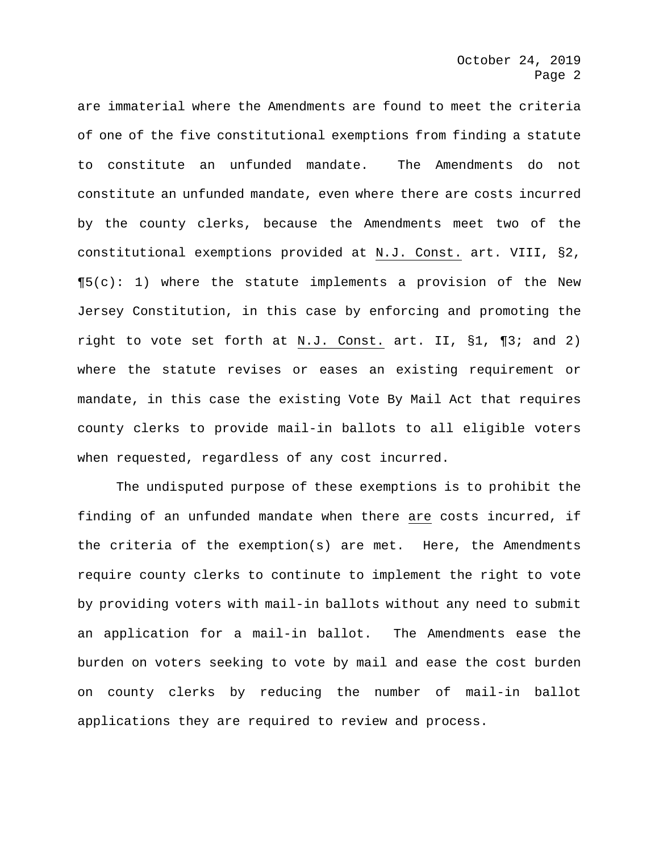are immaterial where the Amendments are found to meet the criteria of one of the five constitutional exemptions from finding a statute to constitute an unfunded mandate. The Amendments do not constitute an unfunded mandate, even where there are costs incurred by the county clerks, because the Amendments meet two of the constitutional exemptions provided at N.J. Const. art. VIII, §2,  $\P5(c): 1$ ) where the statute implements a provision of the New Jersey Constitution, in this case by enforcing and promoting the right to vote set forth at N.J. Const. art. II, §1, ¶3; and 2) where the statute revises or eases an existing requirement or mandate, in this case the existing Vote By Mail Act that requires county clerks to provide mail-in ballots to all eligible voters when requested, regardless of any cost incurred.

The undisputed purpose of these exemptions is to prohibit the finding of an unfunded mandate when there are costs incurred, if the criteria of the exemption(s) are met. Here, the Amendments require county clerks to continute to implement the right to vote by providing voters with mail-in ballots without any need to submit an application for a mail-in ballot. The Amendments ease the burden on voters seeking to vote by mail and ease the cost burden on county clerks by reducing the number of mail-in ballot applications they are required to review and process.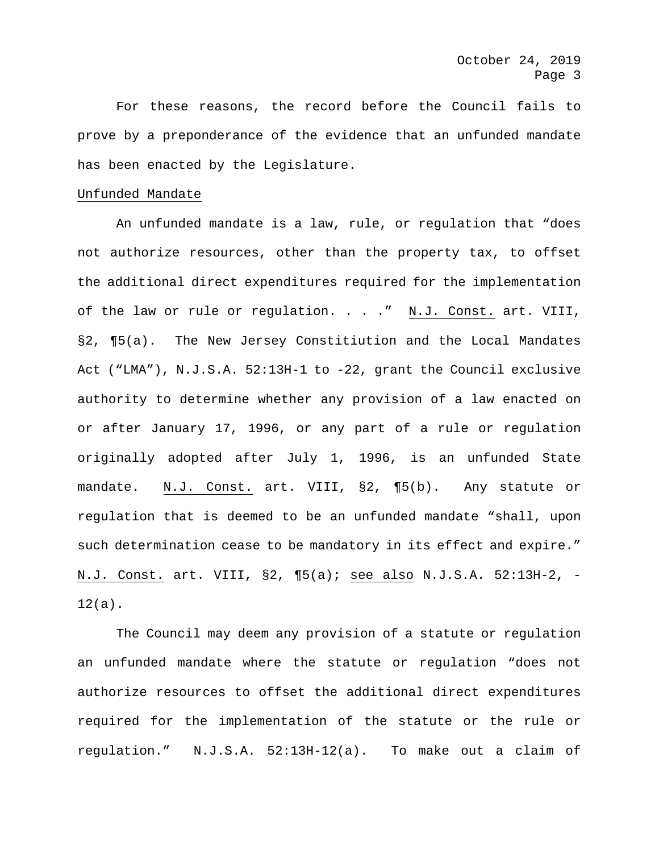For these reasons, the record before the Council fails to prove by a preponderance of the evidence that an unfunded mandate has been enacted by the Legislature.

## Unfunded Mandate

An unfunded mandate is a law, rule, or regulation that "does not authorize resources, other than the property tax, to offset the additional direct expenditures required for the implementation of the law or rule or regulation. . . ." N.J. Const. art. VIII, §2, ¶5(a). The New Jersey Constitiution and the Local Mandates Act ("LMA"), N.J.S.A. 52:13H-1 to -22, grant the Council exclusive authority to determine whether any provision of a law enacted on or after January 17, 1996, or any part of a rule or regulation originally adopted after July 1, 1996, is an unfunded State mandate. N.J. Const. art. VIII, §2, ¶5(b). Any statute or regulation that is deemed to be an unfunded mandate "shall, upon such determination cease to be mandatory in its effect and expire." N.J. Const. art. VIII, §2, ¶5(a); see also N.J.S.A. 52:13H-2, -  $12(a)$ .

The Council may deem any provision of a statute or regulation an unfunded mandate where the statute or regulation "does not authorize resources to offset the additional direct expenditures required for the implementation of the statute or the rule or regulation." N.J.S.A. 52:13H-12(a). To make out a claim of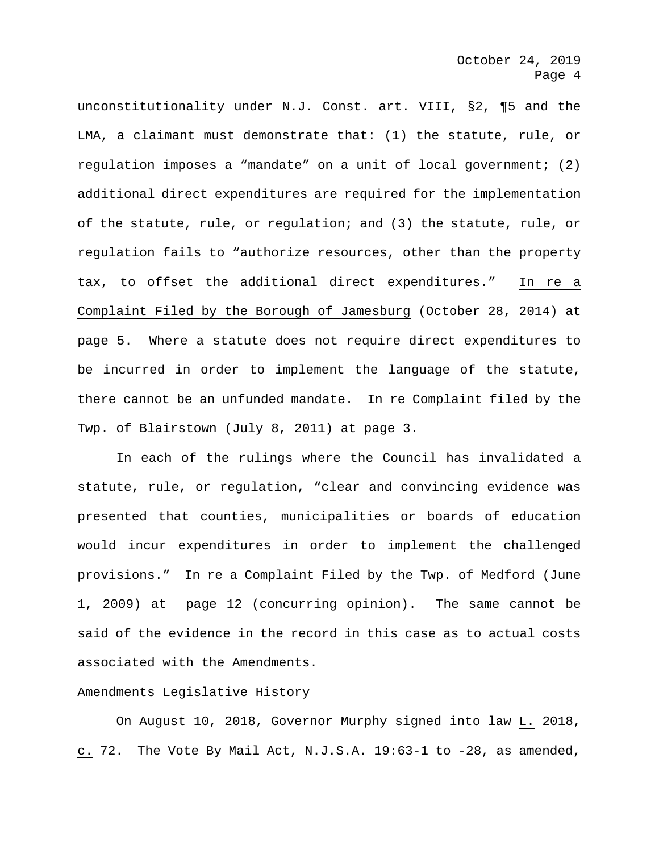unconstitutionality under N.J. Const. art. VIII, §2, ¶5 and the LMA, a claimant must demonstrate that: (1) the statute, rule, or regulation imposes a "mandate" on a unit of local government; (2) additional direct expenditures are required for the implementation of the statute, rule, or regulation; and (3) the statute, rule, or regulation fails to "authorize resources, other than the property tax, to offset the additional direct expenditures." In re a Complaint Filed by the Borough of Jamesburg (October 28, 2014) at page 5. Where a statute does not require direct expenditures to be incurred in order to implement the language of the statute, there cannot be an unfunded mandate. In re Complaint filed by the Twp. of Blairstown (July 8, 2011) at page 3.

In each of the rulings where the Council has invalidated a statute, rule, or regulation, "clear and convincing evidence was presented that counties, municipalities or boards of education would incur expenditures in order to implement the challenged provisions." In re a Complaint Filed by the Twp. of Medford (June 1, 2009) at page 12 (concurring opinion). The same cannot be said of the evidence in the record in this case as to actual costs associated with the Amendments.

# Amendments Legislative History

On August 10, 2018, Governor Murphy signed into law L. 2018, c. 72. The Vote By Mail Act, N.J.S.A. 19:63-1 to -28, as amended,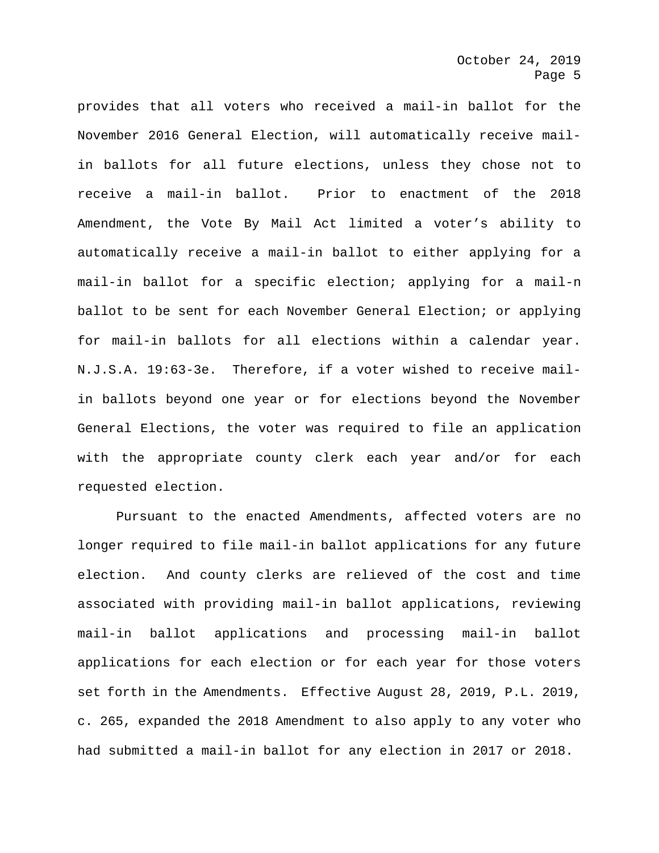provides that all voters who received a mail-in ballot for the November 2016 General Election, will automatically receive mailin ballots for all future elections, unless they chose not to receive a mail-in ballot. Prior to enactment of the 2018 Amendment, the Vote By Mail Act limited a voter's ability to automatically receive a mail-in ballot to either applying for a mail-in ballot for a specific election; applying for a mail-n ballot to be sent for each November General Election; or applying for mail-in ballots for all elections within a calendar year. N.J.S.A. 19:63-3e. Therefore, if a voter wished to receive mailin ballots beyond one year or for elections beyond the November General Elections, the voter was required to file an application with the appropriate county clerk each year and/or for each requested election.

Pursuant to the enacted Amendments, affected voters are no longer required to file mail-in ballot applications for any future election. And county clerks are relieved of the cost and time associated with providing mail-in ballot applications, reviewing mail-in ballot applications and processing mail-in ballot applications for each election or for each year for those voters set forth in the Amendments. Effective August 28, 2019, P.L. 2019, c. 265, expanded the 2018 Amendment to also apply to any voter who had submitted a mail-in ballot for any election in 2017 or 2018.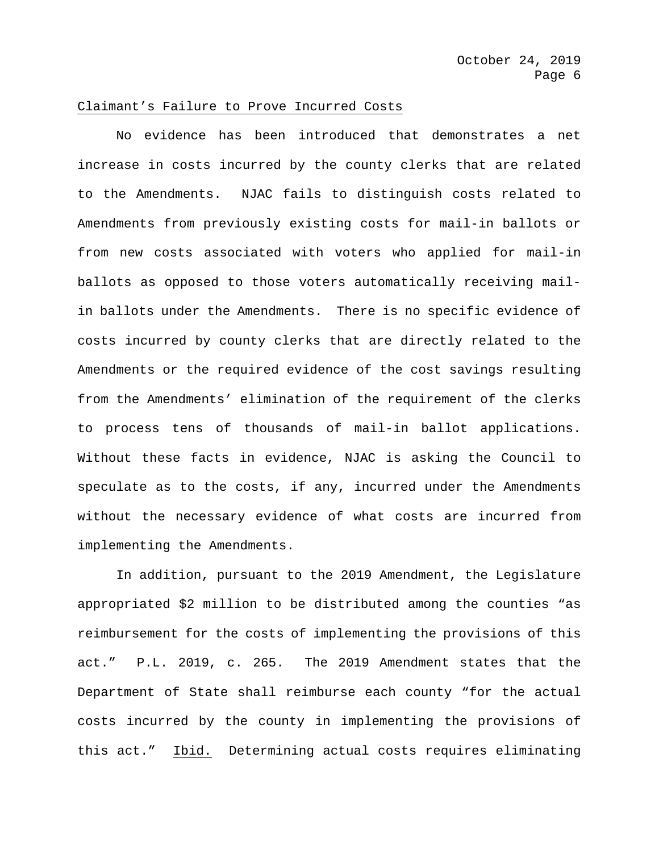#### Claimant's Failure to Prove Incurred Costs

No evidence has been introduced that demonstrates a net increase in costs incurred by the county clerks that are related to the Amendments. NJAC fails to distinguish costs related to Amendments from previously existing costs for mail-in ballots or from new costs associated with voters who applied for mail-in ballots as opposed to those voters automatically receiving mailin ballots under the Amendments. There is no specific evidence of costs incurred by county clerks that are directly related to the Amendments or the required evidence of the cost savings resulting from the Amendments' elimination of the requirement of the clerks to process tens of thousands of mail-in ballot applications. Without these facts in evidence, NJAC is asking the Council to speculate as to the costs, if any, incurred under the Amendments without the necessary evidence of what costs are incurred from implementing the Amendments.

In addition, pursuant to the 2019 Amendment, the Legislature appropriated \$2 million to be distributed among the counties "as reimbursement for the costs of implementing the provisions of this act." P.L. 2019, c. 265. The 2019 Amendment states that the Department of State shall reimburse each county "for the actual costs incurred by the county in implementing the provisions of this act." Ibid. Determining actual costs requires eliminating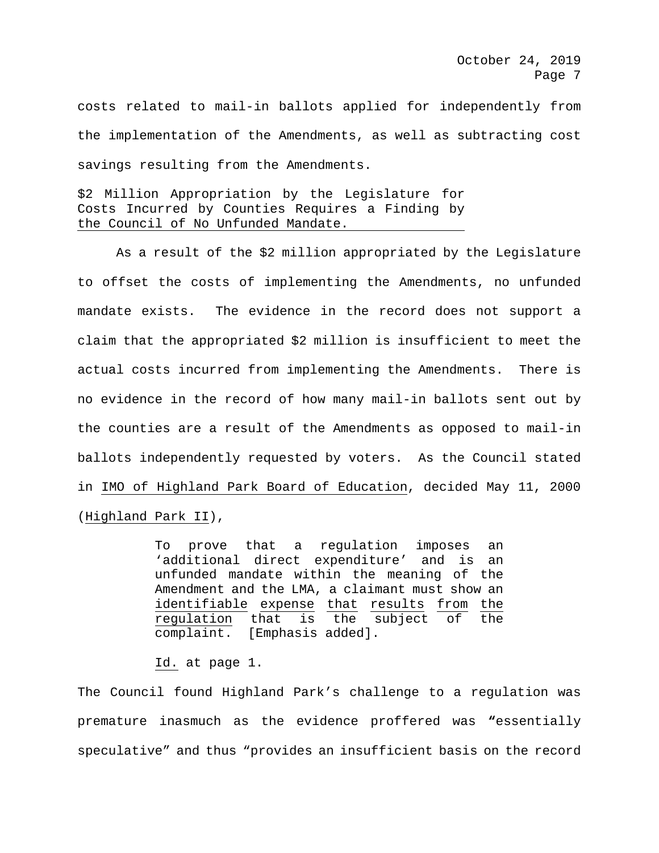costs related to mail-in ballots applied for independently from the implementation of the Amendments, as well as subtracting cost savings resulting from the Amendments.

\$2 Million Appropriation by the Legislature for Costs Incurred by Counties Requires a Finding by the Council of No Unfunded Mandate.

As a result of the \$2 million appropriated by the Legislature to offset the costs of implementing the Amendments, no unfunded mandate exists. The evidence in the record does not support a claim that the appropriated \$2 million is insufficient to meet the actual costs incurred from implementing the Amendments. There is no evidence in the record of how many mail-in ballots sent out by the counties are a result of the Amendments as opposed to mail-in ballots independently requested by voters. As the Council stated in IMO of Highland Park Board of Education, decided May 11, 2000 (Highland Park II),

> To prove that a regulation imposes an 'additional direct expenditure' and is an unfunded mandate within the meaning of the Amendment and the LMA, a claimant must show an identifiable expense that results from the<br>requlation that is the subject of the regulation that is the subject of the<br>complaint. [Emphasis added]. [Emphasis added].

#### Id. at page 1.

The Council found Highland Park's challenge to a regulation was premature inasmuch as the evidence proffered was **"**essentially speculative" and thus "provides an insufficient basis on the record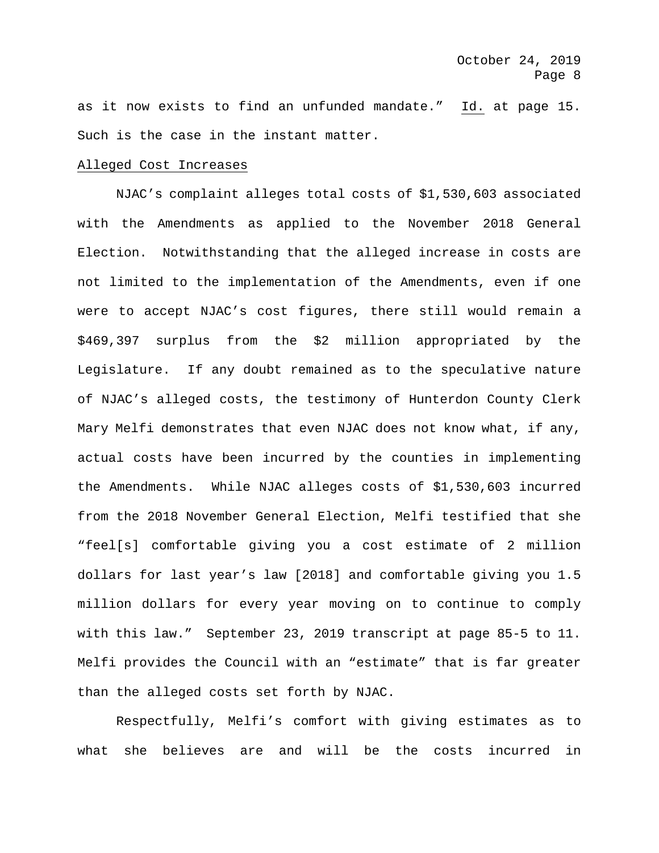as it now exists to find an unfunded mandate." Id. at page 15. Such is the case in the instant matter.

### Alleged Cost Increases

NJAC's complaint alleges total costs of \$1,530,603 associated with the Amendments as applied to the November 2018 General Election. Notwithstanding that the alleged increase in costs are not limited to the implementation of the Amendments, even if one were to accept NJAC's cost figures, there still would remain a \$469,397 surplus from the \$2 million appropriated by the Legislature. If any doubt remained as to the speculative nature of NJAC's alleged costs, the testimony of Hunterdon County Clerk Mary Melfi demonstrates that even NJAC does not know what, if any, actual costs have been incurred by the counties in implementing the Amendments. While NJAC alleges costs of \$1,530,603 incurred from the 2018 November General Election, Melfi testified that she "feel[s] comfortable giving you a cost estimate of 2 million dollars for last year's law [2018] and comfortable giving you 1.5 million dollars for every year moving on to continue to comply with this law." September 23, 2019 transcript at page 85-5 to 11. Melfi provides the Council with an "estimate" that is far greater than the alleged costs set forth by NJAC.

Respectfully, Melfi's comfort with giving estimates as to what she believes are and will be the costs incurred in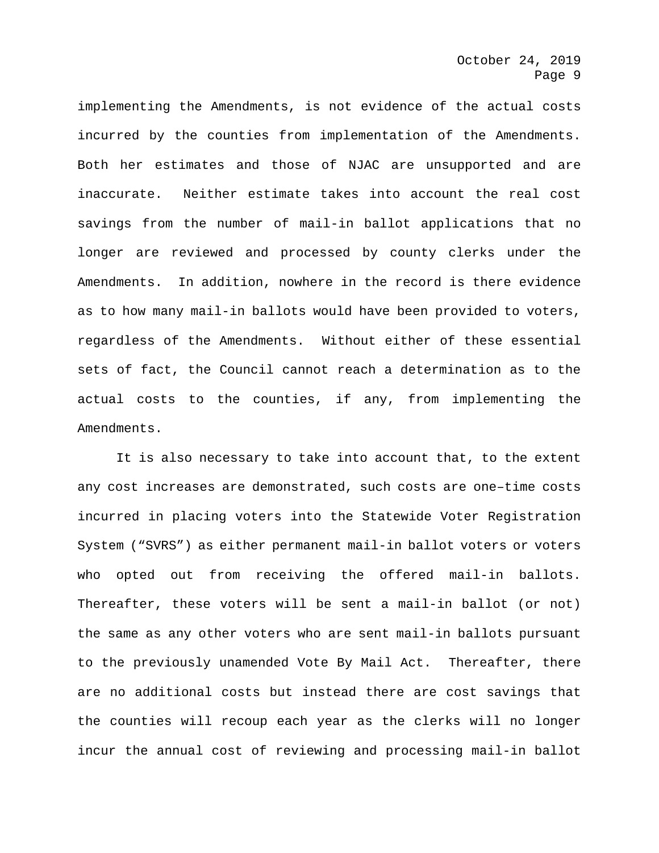implementing the Amendments, is not evidence of the actual costs incurred by the counties from implementation of the Amendments. Both her estimates and those of NJAC are unsupported and are inaccurate. Neither estimate takes into account the real cost savings from the number of mail-in ballot applications that no longer are reviewed and processed by county clerks under the Amendments. In addition, nowhere in the record is there evidence as to how many mail-in ballots would have been provided to voters, regardless of the Amendments. Without either of these essential sets of fact, the Council cannot reach a determination as to the actual costs to the counties, if any, from implementing the Amendments.

It is also necessary to take into account that, to the extent any cost increases are demonstrated, such costs are one–time costs incurred in placing voters into the Statewide Voter Registration System ("SVRS") as either permanent mail-in ballot voters or voters who opted out from receiving the offered mail-in ballots. Thereafter, these voters will be sent a mail-in ballot (or not) the same as any other voters who are sent mail-in ballots pursuant to the previously unamended Vote By Mail Act. Thereafter, there are no additional costs but instead there are cost savings that the counties will recoup each year as the clerks will no longer incur the annual cost of reviewing and processing mail-in ballot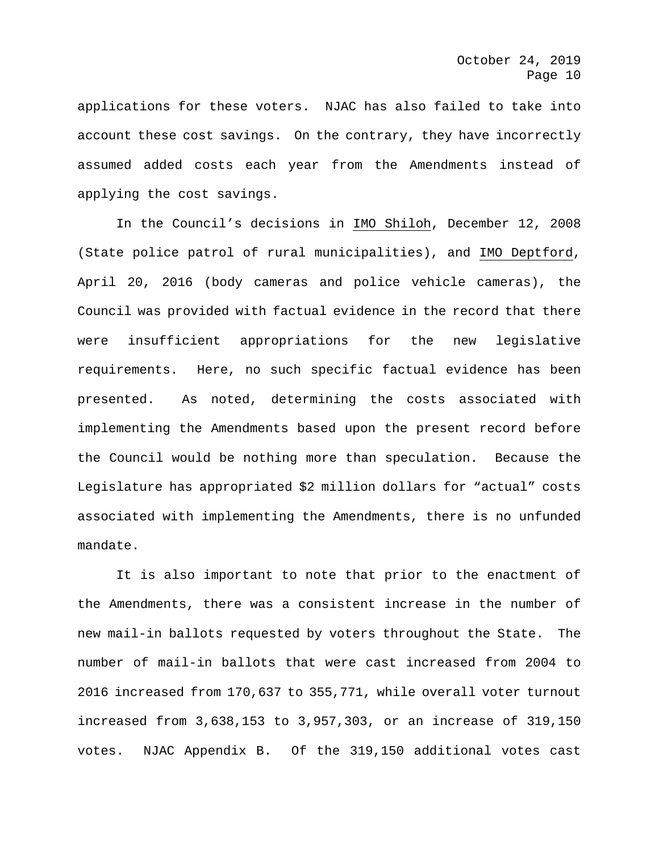applications for these voters. NJAC has also failed to take into account these cost savings. On the contrary, they have incorrectly assumed added costs each year from the Amendments instead of applying the cost savings.

In the Council's decisions in IMO Shiloh, December 12, 2008 (State police patrol of rural municipalities), and IMO Deptford, April 20, 2016 (body cameras and police vehicle cameras), the Council was provided with factual evidence in the record that there were insufficient appropriations for the new legislative requirements. Here, no such specific factual evidence has been presented. As noted, determining the costs associated with implementing the Amendments based upon the present record before the Council would be nothing more than speculation. Because the Legislature has appropriated \$2 million dollars for "actual" costs associated with implementing the Amendments, there is no unfunded mandate.

It is also important to note that prior to the enactment of the Amendments, there was a consistent increase in the number of new mail-in ballots requested by voters throughout the State. The number of mail-in ballots that were cast increased from 2004 to 2016 increased from 170,637 to 355,771, while overall voter turnout increased from 3,638,153 to 3,957,303, or an increase of 319,150 votes. NJAC Appendix B. Of the 319,150 additional votes cast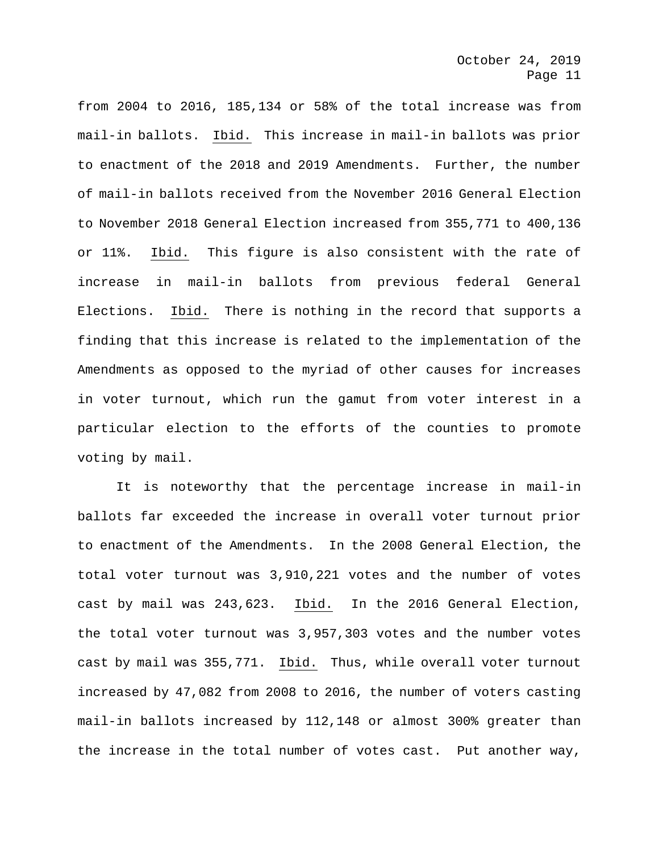from 2004 to 2016, 185,134 or 58% of the total increase was from mail-in ballots. Ibid. This increase in mail-in ballots was prior to enactment of the 2018 and 2019 Amendments. Further, the number of mail-in ballots received from the November 2016 General Election to November 2018 General Election increased from 355,771 to 400,136 or 11%. Ibid. This figure is also consistent with the rate of increase in mail-in ballots from previous federal General Elections. Ibid. There is nothing in the record that supports a finding that this increase is related to the implementation of the Amendments as opposed to the myriad of other causes for increases in voter turnout, which run the gamut from voter interest in a particular election to the efforts of the counties to promote voting by mail.

It is noteworthy that the percentage increase in mail-in ballots far exceeded the increase in overall voter turnout prior to enactment of the Amendments. In the 2008 General Election, the total voter turnout was 3,910,221 votes and the number of votes cast by mail was 243,623. Ibid. In the 2016 General Election, the total voter turnout was 3,957,303 votes and the number votes cast by mail was 355,771. Ibid. Thus, while overall voter turnout increased by 47,082 from 2008 to 2016, the number of voters casting mail-in ballots increased by 112,148 or almost 300% greater than the increase in the total number of votes cast. Put another way,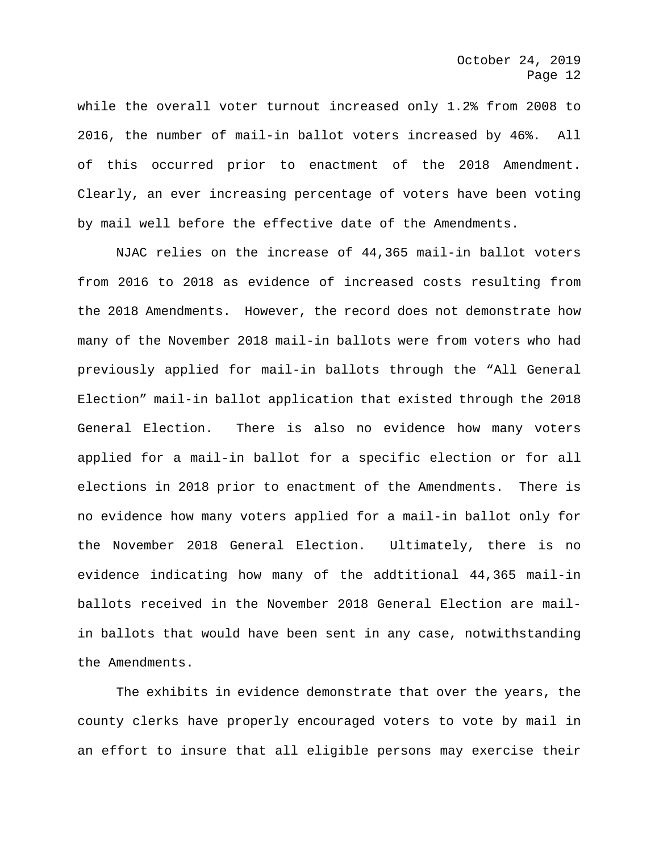while the overall voter turnout increased only 1.2% from 2008 to 2016, the number of mail-in ballot voters increased by 46%. All of this occurred prior to enactment of the 2018 Amendment. Clearly, an ever increasing percentage of voters have been voting by mail well before the effective date of the Amendments.

NJAC relies on the increase of 44,365 mail-in ballot voters from 2016 to 2018 as evidence of increased costs resulting from the 2018 Amendments. However, the record does not demonstrate how many of the November 2018 mail-in ballots were from voters who had previously applied for mail-in ballots through the "All General Election" mail-in ballot application that existed through the 2018 General Election. There is also no evidence how many voters applied for a mail-in ballot for a specific election or for all elections in 2018 prior to enactment of the Amendments. There is no evidence how many voters applied for a mail-in ballot only for the November 2018 General Election. Ultimately, there is no evidence indicating how many of the addtitional 44,365 mail-in ballots received in the November 2018 General Election are mailin ballots that would have been sent in any case, notwithstanding the Amendments.

The exhibits in evidence demonstrate that over the years, the county clerks have properly encouraged voters to vote by mail in an effort to insure that all eligible persons may exercise their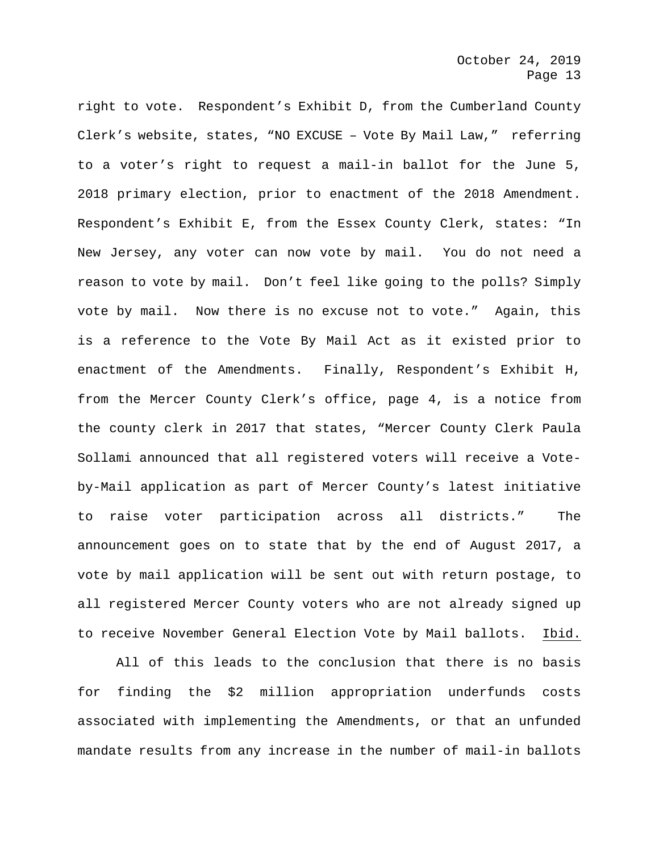right to vote. Respondent's Exhibit D, from the Cumberland County Clerk's website, states, "NO EXCUSE – Vote By Mail Law," referring to a voter's right to request a mail-in ballot for the June 5, 2018 primary election, prior to enactment of the 2018 Amendment. Respondent's Exhibit E, from the Essex County Clerk, states: "In New Jersey, any voter can now vote by mail. You do not need a reason to vote by mail. Don't feel like going to the polls? Simply vote by mail. Now there is no excuse not to vote." Again, this is a reference to the Vote By Mail Act as it existed prior to enactment of the Amendments. Finally, Respondent's Exhibit H, from the Mercer County Clerk's office, page 4, is a notice from the county clerk in 2017 that states, "Mercer County Clerk Paula Sollami announced that all registered voters will receive a Voteby-Mail application as part of Mercer County's latest initiative to raise voter participation across all districts." The announcement goes on to state that by the end of August 2017, a vote by mail application will be sent out with return postage, to all registered Mercer County voters who are not already signed up to receive November General Election Vote by Mail ballots. Ibid.

All of this leads to the conclusion that there is no basis for finding the \$2 million appropriation underfunds costs associated with implementing the Amendments, or that an unfunded mandate results from any increase in the number of mail-in ballots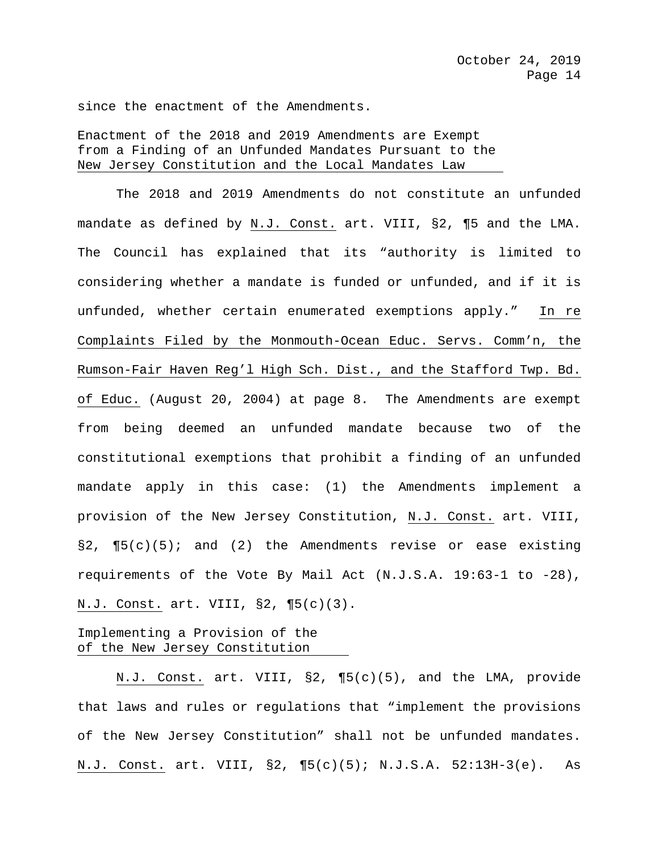since the enactment of the Amendments.

Enactment of the 2018 and 2019 Amendments are Exempt from a Finding of an Unfunded Mandates Pursuant to the New Jersey Constitution and the Local Mandates Law

The 2018 and 2019 Amendments do not constitute an unfunded mandate as defined by N.J. Const. art. VIII, §2, ¶5 and the LMA. The Council has explained that its "authority is limited to considering whether a mandate is funded or unfunded, and if it is unfunded, whether certain enumerated exemptions apply." In re Complaints Filed by the Monmouth-Ocean Educ. Servs. Comm'n, the Rumson-Fair Haven Reg'l High Sch. Dist., and the Stafford Twp. Bd. of Educ. (August 20, 2004) at page 8. The Amendments are exempt from being deemed an unfunded mandate because two of the constitutional exemptions that prohibit a finding of an unfunded mandate apply in this case: (1) the Amendments implement a provision of the New Jersey Constitution, N.J. Const. art. VIII,  $\S2$ ,  $\P5(c)(5)$ ; and (2) the Amendments revise or ease existing requirements of the Vote By Mail Act (N.J.S.A. 19:63-1 to -28), N.J. Const. art. VIII, §2, ¶5(c)(3).

# Implementing a Provision of the of the New Jersey Constitution

N.J. Const. art. VIII, §2, ¶5(c)(5), and the LMA, provide that laws and rules or regulations that "implement the provisions of the New Jersey Constitution" shall not be unfunded mandates. N.J. Const. art. VIII, §2, ¶5(c)(5); N.J.S.A. 52:13H-3(e). As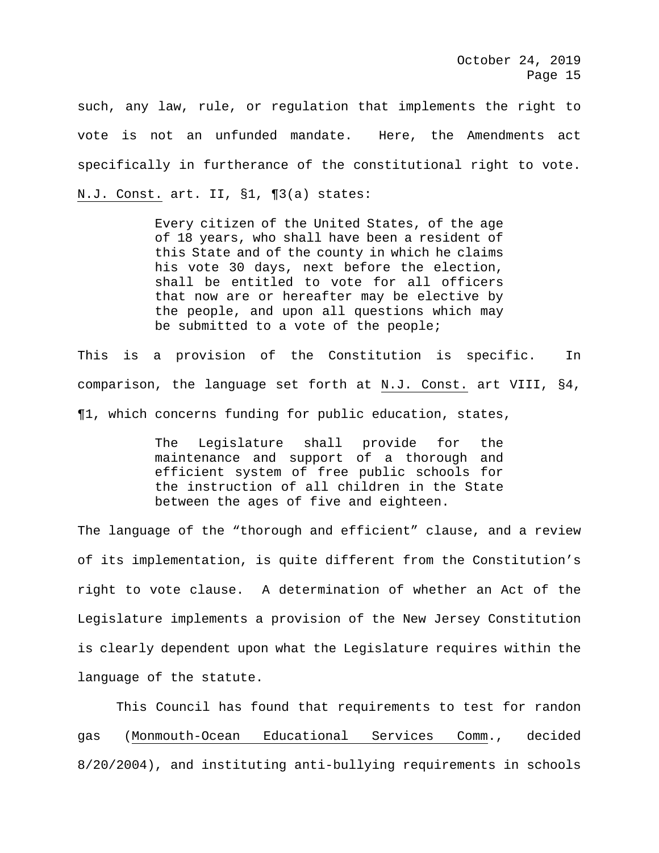such, any law, rule, or regulation that implements the right to vote is not an unfunded mandate. Here, the Amendments act specifically in furtherance of the constitutional right to vote. N.J. Const. art. II, §1, ¶3(a) states:

> Every citizen of the United States, of the age of 18 years, who shall have been a resident of this State and of the county in which he claims his vote 30 days, next before the election, shall be entitled to vote for all officers that now are or hereafter may be elective by the people, and upon all questions which may be submitted to a vote of the people;

This is a provision of the Constitution is specific. In comparison, the language set forth at N.J. Const. art VIII, §4, ¶1, which concerns funding for public education, states,

> The Legislature shall provide for the maintenance and support of a thorough and efficient system of free public schools for the instruction of all children in the State between the ages of five and eighteen.

The language of the "thorough and efficient" clause, and a review of its implementation, is quite different from the Constitution's right to vote clause. A determination of whether an Act of the Legislature implements a provision of the New Jersey Constitution is clearly dependent upon what the Legislature requires within the language of the statute.

This Council has found that requirements to test for randon gas (Monmouth-Ocean Educational Services Comm., decided 8/20/2004), and instituting anti-bullying requirements in schools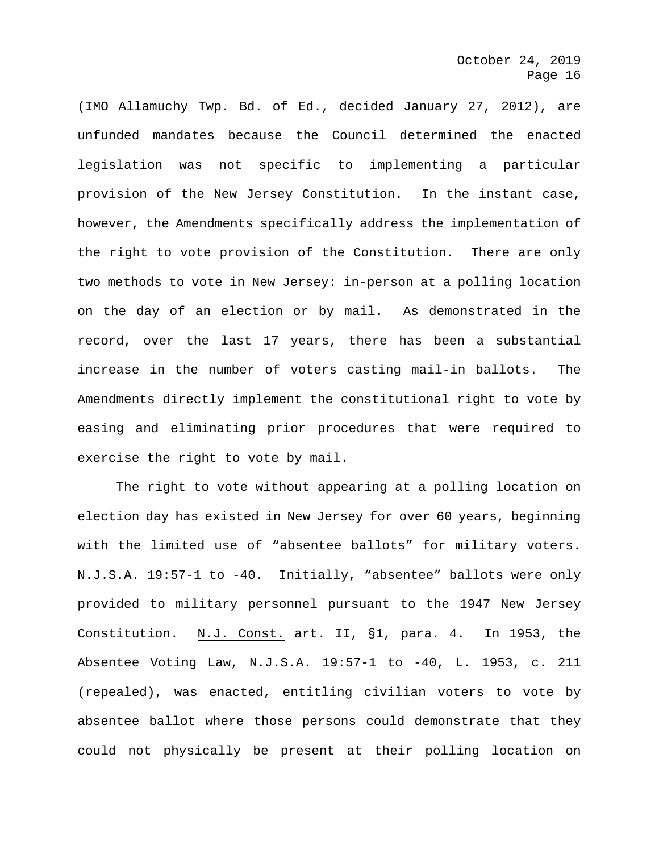(IMO Allamuchy Twp. Bd. of Ed., decided January 27, 2012), are unfunded mandates because the Council determined the enacted legislation was not specific to implementing a particular provision of the New Jersey Constitution. In the instant case, however, the Amendments specifically address the implementation of the right to vote provision of the Constitution. There are only two methods to vote in New Jersey: in-person at a polling location on the day of an election or by mail. As demonstrated in the record, over the last 17 years, there has been a substantial increase in the number of voters casting mail-in ballots. The Amendments directly implement the constitutional right to vote by easing and eliminating prior procedures that were required to exercise the right to vote by mail.

The right to vote without appearing at a polling location on election day has existed in New Jersey for over 60 years, beginning with the limited use of "absentee ballots" for military voters. N.J.S.A. 19:57-1 to -40. Initially, "absentee" ballots were only provided to military personnel pursuant to the 1947 New Jersey Constitution. N.J. Const. art. II, §1, para. 4. In 1953, the Absentee Voting Law, N.J.S.A. 19:57-1 to -40, L. 1953, c. 211 (repealed), was enacted, entitling civilian voters to vote by absentee ballot where those persons could demonstrate that they could not physically be present at their polling location on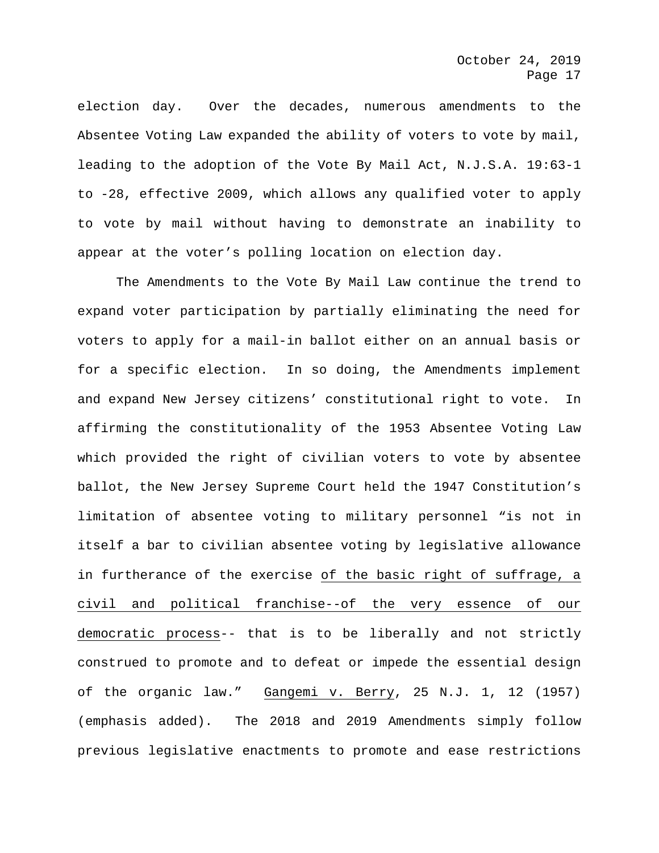election day. Over the decades, numerous amendments to the Absentee Voting Law expanded the ability of voters to vote by mail, leading to the adoption of the Vote By Mail Act, N.J.S.A. 19:63-1 to -28, effective 2009, which allows any qualified voter to apply to vote by mail without having to demonstrate an inability to appear at the voter's polling location on election day.

The Amendments to the Vote By Mail Law continue the trend to expand voter participation by partially eliminating the need for voters to apply for a mail-in ballot either on an annual basis or for a specific election. In so doing, the Amendments implement and expand New Jersey citizens' constitutional right to vote. In affirming the constitutionality of the 1953 Absentee Voting Law which provided the right of civilian voters to vote by absentee ballot, the New Jersey Supreme Court held the 1947 Constitution's limitation of absentee voting to military personnel "is not in itself a bar to civilian absentee voting by legislative allowance in furtherance of the exercise of the basic right of suffrage, a civil and political franchise--of the very essence of our democratic process-- that is to be liberally and not strictly construed to promote and to defeat or impede the essential design of the organic law." Gangemi v. Berry, 25 N.J. 1, 12 (1957) (emphasis added). The 2018 and 2019 Amendments simply follow previous legislative enactments to promote and ease restrictions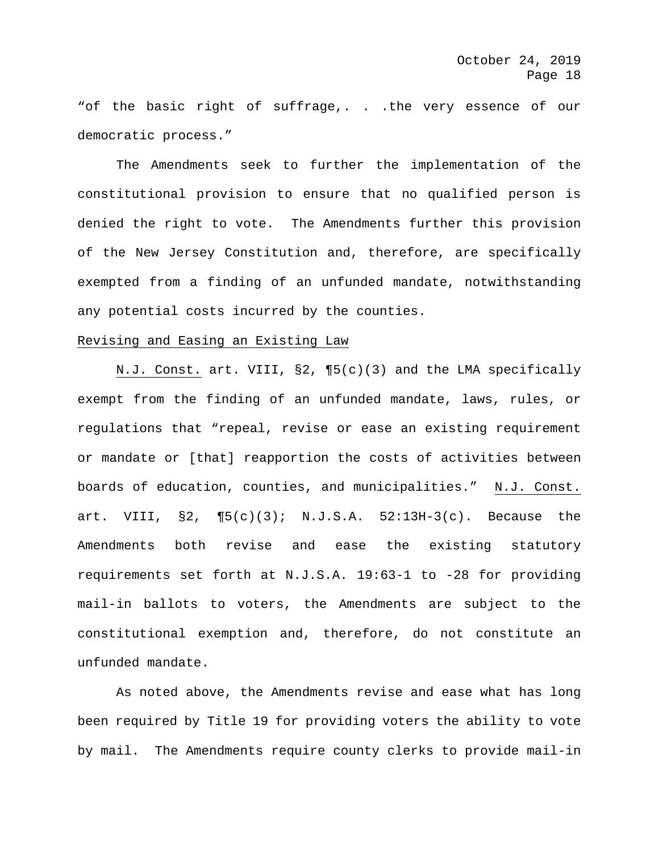"of the basic right of suffrage,. . . the very essence of our democratic process."

The Amendments seek to further the implementation of the constitutional provision to ensure that no qualified person is denied the right to vote. The Amendments further this provision of the New Jersey Constitution and, therefore, are specifically exempted from a finding of an unfunded mandate, notwithstanding any potential costs incurred by the counties.

# Revising and Easing an Existing Law

N.J. Const. art. VIII, §2, ¶5(c)(3) and the LMA specifically exempt from the finding of an unfunded mandate, laws, rules, or regulations that "repeal, revise or ease an existing requirement or mandate or [that] reapportion the costs of activities between boards of education, counties, and municipalities." N.J. Const. art. VIII, §2, ¶5(c)(3); N.J.S.A. 52:13H-3(c). Because the Amendments both revise and ease the existing statutory requirements set forth at N.J.S.A. 19:63-1 to -28 for providing mail-in ballots to voters, the Amendments are subject to the constitutional exemption and, therefore, do not constitute an unfunded mandate.

As noted above, the Amendments revise and ease what has long been required by Title 19 for providing voters the ability to vote by mail. The Amendments require county clerks to provide mail-in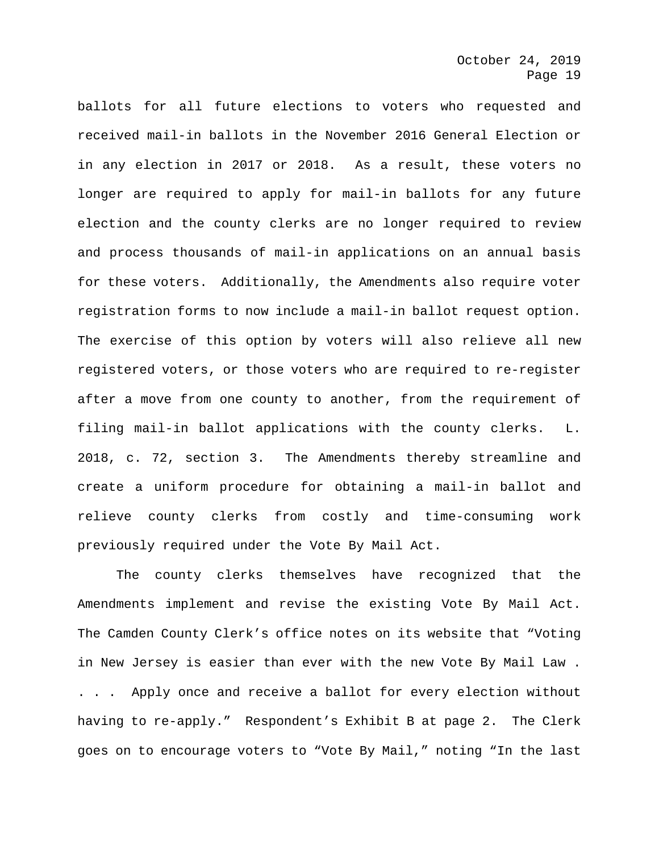ballots for all future elections to voters who requested and received mail-in ballots in the November 2016 General Election or in any election in 2017 or 2018. As a result, these voters no longer are required to apply for mail-in ballots for any future election and the county clerks are no longer required to review and process thousands of mail-in applications on an annual basis for these voters. Additionally, the Amendments also require voter registration forms to now include a mail-in ballot request option. The exercise of this option by voters will also relieve all new registered voters, or those voters who are required to re-register after a move from one county to another, from the requirement of filing mail-in ballot applications with the county clerks. L. 2018, c. 72, section 3. The Amendments thereby streamline and create a uniform procedure for obtaining a mail-in ballot and relieve county clerks from costly and time-consuming work previously required under the Vote By Mail Act.

The county clerks themselves have recognized that the Amendments implement and revise the existing Vote By Mail Act. The Camden County Clerk's office notes on its website that "Voting in New Jersey is easier than ever with the new Vote By Mail Law . . . . Apply once and receive a ballot for every election without having to re-apply." Respondent's Exhibit B at page 2. The Clerk goes on to encourage voters to "Vote By Mail," noting "In the last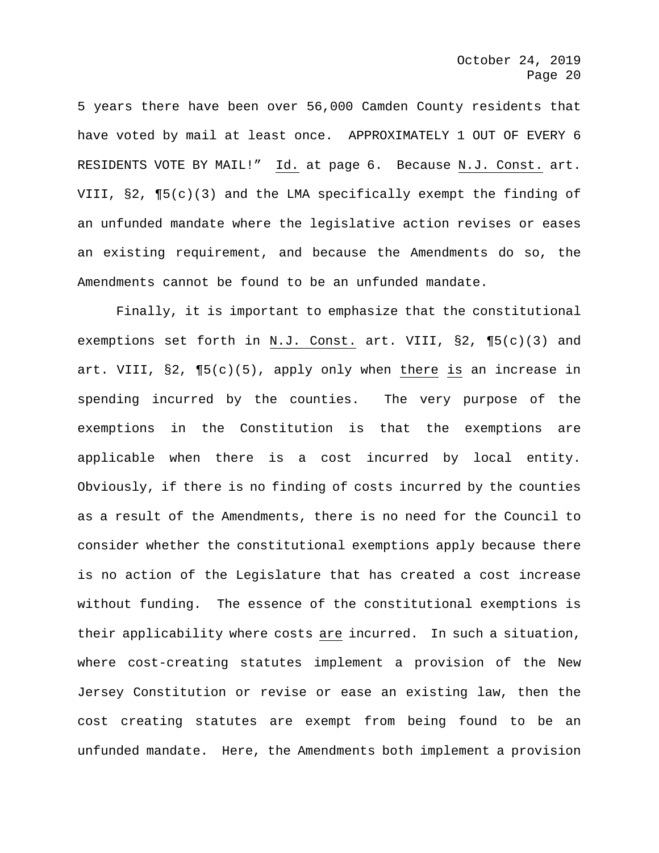5 years there have been over 56,000 Camden County residents that have voted by mail at least once. APPROXIMATELY 1 OUT OF EVERY 6 RESIDENTS VOTE BY MAIL!" Id. at page 6. Because N.J. Const. art. VIII, §2, ¶5(c)(3) and the LMA specifically exempt the finding of an unfunded mandate where the legislative action revises or eases an existing requirement, and because the Amendments do so, the Amendments cannot be found to be an unfunded mandate.

Finally, it is important to emphasize that the constitutional exemptions set forth in N.J. Const. art. VIII, §2, ¶5(c)(3) and art. VIII, §2, ¶5(c)(5), apply only when there is an increase in spending incurred by the counties. The very purpose of the exemptions in the Constitution is that the exemptions are applicable when there is a cost incurred by local entity. Obviously, if there is no finding of costs incurred by the counties as a result of the Amendments, there is no need for the Council to consider whether the constitutional exemptions apply because there is no action of the Legislature that has created a cost increase without funding. The essence of the constitutional exemptions is their applicability where costs are incurred. In such a situation, where cost-creating statutes implement a provision of the New Jersey Constitution or revise or ease an existing law, then the cost creating statutes are exempt from being found to be an unfunded mandate. Here, the Amendments both implement a provision